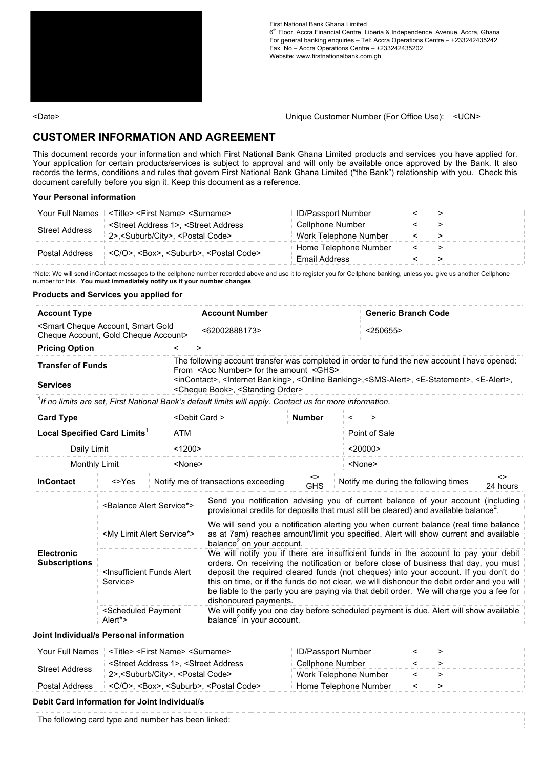

First National Bank Ghana Limited 6<sup>th</sup> Floor, Accra Financial Centre, Liberia & Independence Avenue, Accra, Ghana For general banking enquiries – Tel: Accra Operations Centre – +233242435242 Fax No – Accra Operations Centre – +233242435202 Website: www.firstnationalbank.com.gh

<Date> Unique Customer Number (For Office Use): <UCN>

# **CUSTOMER INFORMATION AND AGREEMENT**

This document records your information and which First National Bank Ghana Limited products and services you have applied for. Your application for certain products/services is subject to approval and will only be available once approved by the Bank. It also records the terms, conditions and rules that govern First National Bank Ghana Limited ("the Bank") relationship with you. Check this document carefully before you sign it. Keep this document as a reference.

## **Your Personal information**

|                       | Your Full Names < < Title> < First Name> < Surname>                                                      | <b>ID/Passport Number</b> |  |
|-----------------------|----------------------------------------------------------------------------------------------------------|---------------------------|--|
| <b>Street Address</b> | <street 1="" address="">. <street address<="" td=""><td>Cellphone Number</td><td></td></street></street> | Cellphone Number          |  |
|                       | 2>, <suburb city="">, <postal code=""></postal></suburb>                                                 | Work Telephone Number     |  |
| <b>Postal Address</b> |                                                                                                          | Home Telephone Number     |  |
|                       | <c o="">. <box>. <suburb>. <postal code=""></postal></suburb></box></c>                                  | <b>Email Address</b>      |  |

\*Note: We will send inContact messages to the cellphone number recorded above and use it to register you for Cellphone banking, unless you give us another Cellphone number for this. **You must immediately notify us if your number changes**

## **Products and Services you applied for**

| <b>Account Type</b>                                                                              |                                                               |               | <b>Account Number</b>                                                                                                                                                                                                                                                                                                                                                                                                                                                                 |                  | <b>Generic Branch Code</b>                                                            |  |  |  |  |  |  |  |  |  |
|--------------------------------------------------------------------------------------------------|---------------------------------------------------------------|---------------|---------------------------------------------------------------------------------------------------------------------------------------------------------------------------------------------------------------------------------------------------------------------------------------------------------------------------------------------------------------------------------------------------------------------------------------------------------------------------------------|------------------|---------------------------------------------------------------------------------------|--|--|--|--|--|--|--|--|--|
| <smart account,="" cheque="" gold<br="" smart="">Cheque Account, Gold Cheque Account&gt;</smart> |                                                               |               | <62002888173>                                                                                                                                                                                                                                                                                                                                                                                                                                                                         |                  | < 250655                                                                              |  |  |  |  |  |  |  |  |  |
| <b>Pricing Option</b>                                                                            |                                                               | $\,<\,$       | $\geq$                                                                                                                                                                                                                                                                                                                                                                                                                                                                                |                  |                                                                                       |  |  |  |  |  |  |  |  |  |
| <b>Transfer of Funds</b>                                                                         |                                                               |               | The following account transfer was completed in order to fund the new account I have opened:<br>From <acc number=""> for the amount <ghs></ghs></acc>                                                                                                                                                                                                                                                                                                                                 |                  |                                                                                       |  |  |  |  |  |  |  |  |  |
| <b>Services</b>                                                                                  |                                                               |               | <incontact>, <lnternet banking="">, <online banking="">,<sms-alert>, <e-statement>, <e-alert>,<br/><cheque book="">, <standing order=""></standing></cheque></e-alert></e-statement></sms-alert></online></lnternet></incontact>                                                                                                                                                                                                                                                      |                  |                                                                                       |  |  |  |  |  |  |  |  |  |
|                                                                                                  |                                                               |               | <sup>1</sup> If no limits are set, First National Bank's default limits will apply. Contact us for more information.                                                                                                                                                                                                                                                                                                                                                                  |                  |                                                                                       |  |  |  |  |  |  |  |  |  |
| <b>Card Type</b>                                                                                 |                                                               |               | <debit card=""></debit>                                                                                                                                                                                                                                                                                                                                                                                                                                                               | <b>Number</b>    | $\,<\,$<br>$\geq$                                                                     |  |  |  |  |  |  |  |  |  |
| Local Specified Card Limits <sup>1</sup>                                                         |                                                               | <b>ATM</b>    |                                                                                                                                                                                                                                                                                                                                                                                                                                                                                       |                  | Point of Sale                                                                         |  |  |  |  |  |  |  |  |  |
| Daily Limit                                                                                      |                                                               | <1200>        |                                                                                                                                                                                                                                                                                                                                                                                                                                                                                       |                  | $<$ 20000 $>$                                                                         |  |  |  |  |  |  |  |  |  |
| <b>Monthly Limit</b>                                                                             |                                                               | <none></none> |                                                                                                                                                                                                                                                                                                                                                                                                                                                                                       |                  | <none></none>                                                                         |  |  |  |  |  |  |  |  |  |
| <b>InContact</b>                                                                                 | $<$ $Yes$                                                     |               | Notify me of transactions exceeding                                                                                                                                                                                                                                                                                                                                                                                                                                                   | <><br><b>GHS</b> | $\leftrightarrow$<br>Notify me during the following times<br>24 hours                 |  |  |  |  |  |  |  |  |  |
|                                                                                                  | <balance alert="" service*=""></balance>                      |               | Send you notification advising you of current balance of your account (including<br>provisional credits for deposits that must still be cleared) and available balance <sup>2</sup> .                                                                                                                                                                                                                                                                                                 |                  |                                                                                       |  |  |  |  |  |  |  |  |  |
|                                                                                                  | <my alert="" limit="" service*=""></my>                       |               | We will send you a notification alerting you when current balance (real time balance<br>as at 7am) reaches amount/limit you specified. Alert will show current and available<br>balance <sup>2</sup> on your account.                                                                                                                                                                                                                                                                 |                  |                                                                                       |  |  |  |  |  |  |  |  |  |
| <b>Electronic</b><br><b>Subscriptions</b>                                                        | <insufficient alert<br="" funds="">Service&gt;</insufficient> |               | We will notify you if there are insufficient funds in the account to pay your debit<br>orders. On receiving the notification or before close of business that day, you must<br>deposit the required cleared funds (not cheques) into your account. If you don't do<br>this on time, or if the funds do not clear, we will dishonour the debit order and you will<br>be liable to the party you are paying via that debit order. We will charge you a fee for<br>dishonoured payments. |                  |                                                                                       |  |  |  |  |  |  |  |  |  |
|                                                                                                  | <scheduled payment<br="">Alert*&gt;</scheduled>               |               | balance <sup>2</sup> in your account.                                                                                                                                                                                                                                                                                                                                                                                                                                                 |                  | We will notify you one day before scheduled payment is due. Alert will show available |  |  |  |  |  |  |  |  |  |

# **Joint Individual/s Personal information**

| Your Full Names       | <title> <first name=""> <surname></surname></first></title>                                              | <b>ID/Passport Number</b> |  |
|-----------------------|----------------------------------------------------------------------------------------------------------|---------------------------|--|
| <b>Street Address</b> | <street 1="" address="">. <street address<="" td=""><td>Cellphone Number</td><td></td></street></street> | Cellphone Number          |  |
|                       | 2>, <suburb city="">, <postal code=""></postal></suburb>                                                 | Work Telephone Number     |  |
| Postal Address        | <c o="">. <box>. <suburb>. <postal code=""></postal></suburb></box></c>                                  | Home Telephone Number     |  |

### **Debit Card information for Joint Individual/s**

| The following card type and number has been linked: |  |  |  |  |  |  |  |  |  |  |  |  |  |  |  |  |  |
|-----------------------------------------------------|--|--|--|--|--|--|--|--|--|--|--|--|--|--|--|--|--|